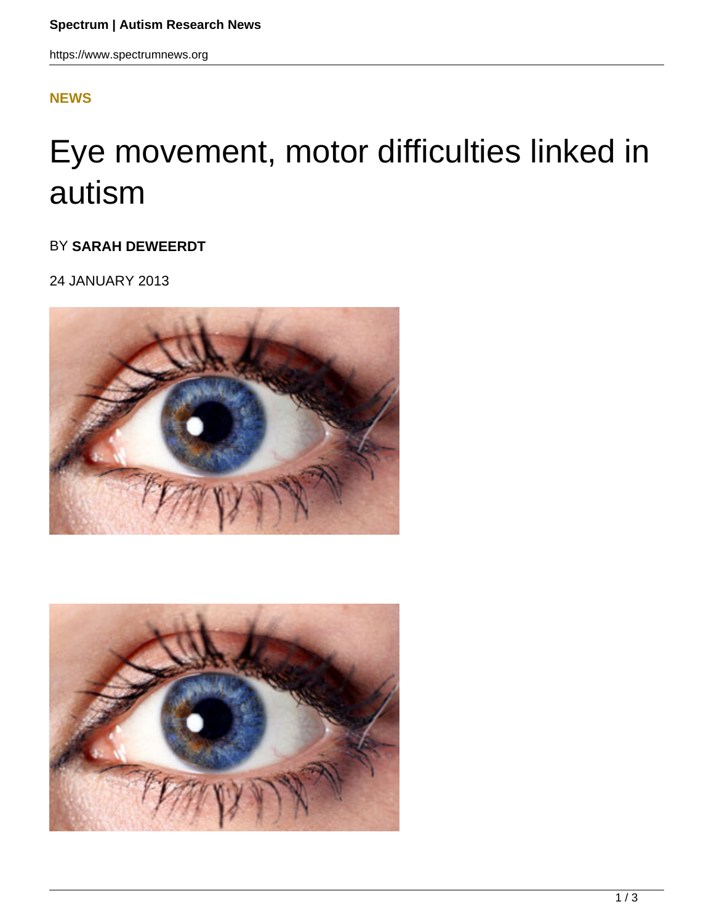https://www.spectrumnews.org

## **[NEWS](HTTPS://WWW.SPECTRUMNEWS.ORG/NEWS/)**

## Eye movement, motor difficulties linked in autism

## BY **SARAH DEWEERDT**

24 JANUARY 2013



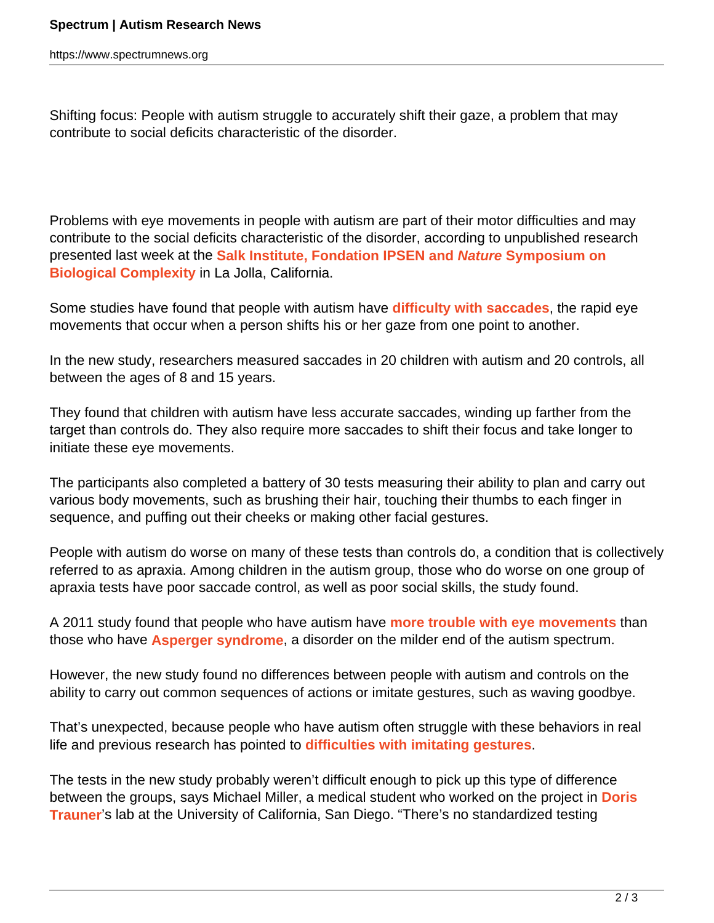Shifting focus: People with autism struggle to accurately shift their gaze, a problem that may contribute to social deficits characteristic of the disorder.

Problems with eye movements in people with autism are part of their motor difficulties and may contribute to the social deficits characteristic of the disorder, according to unpublished research presented last week at the **Salk Institute, Fondation IPSEN and Nature Symposium on Biological Complexity** in La Jolla, California.

Some studies have found that people with autism have **difficulty with saccades**, the rapid eye movements that occur when a person shifts his or her gaze from one point to another.

In the new study, researchers measured saccades in 20 children with autism and 20 controls, all between the ages of 8 and 15 years.

They found that children with autism have less accurate saccades, winding up farther from the target than controls do. They also require more saccades to shift their focus and take longer to initiate these eye movements.

The participants also completed a battery of 30 tests measuring their ability to plan and carry out various body movements, such as brushing their hair, touching their thumbs to each finger in sequence, and puffing out their cheeks or making other facial gestures.

People with autism do worse on many of these tests than controls do, a condition that is collectively referred to as apraxia. Among children in the autism group, those who do worse on one group of apraxia tests have poor saccade control, as well as poor social skills, the study found.

A 2011 study found that people who have autism have **more trouble with eye movements** than those who have **Asperger syndrome**, a disorder on the milder end of the autism spectrum.

However, the new study found no differences between people with autism and controls on the ability to carry out common sequences of actions or imitate gestures, such as waving goodbye.

That's unexpected, because people who have autism often struggle with these behaviors in real life and previous research has pointed to **difficulties with imitating gestures**.

The tests in the new study probably weren't difficult enough to pick up this type of difference between the groups, says Michael Miller, a medical student who worked on the project in **Doris Trauner**'s lab at the University of California, San Diego. "There's no standardized testing